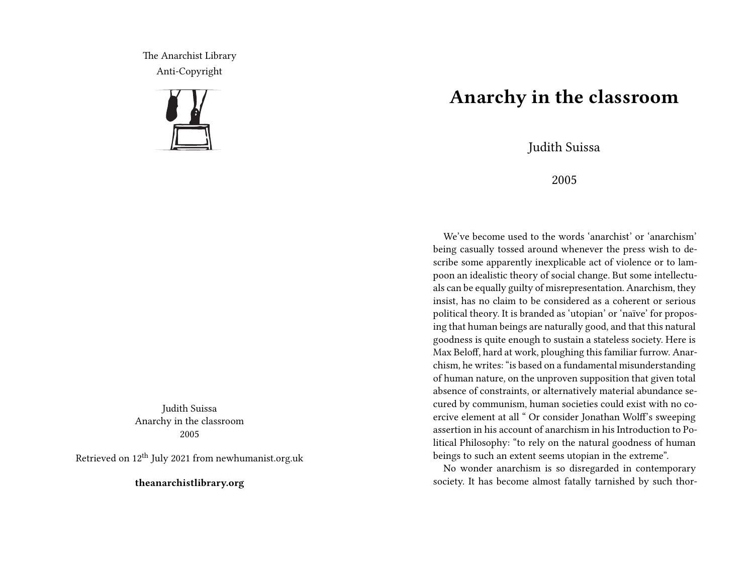The Anarchist Library Anti-Copyright



Judith Suissa Anarchy in the classroom 2005

Retrieved on  $12<sup>th</sup>$  July 2021 from newhumanist.org.uk

**theanarchistlibrary.org**

## **Anarchy in the classroom**

Judith Suissa

2005

We've become used to the words 'anarchist' or 'anarchism' being casually tossed around whenever the press wish to describe some apparently inexplicable act of violence or to lampoon an idealistic theory of social change. But some intellectuals can be equally guilty of misrepresentation. Anarchism, they insist, has no claim to be considered as a coherent or serious political theory. It is branded as 'utopian' or 'naïve' for proposing that human beings are naturally good, and that this natural goodness is quite enough to sustain a stateless society. Here is Max Beloff, hard at work, ploughing this familiar furrow. Anarchism, he writes: "is based on a fundamental misunderstanding of human nature, on the unproven supposition that given total absence of constraints, or alternatively material abundance secured by communism, human societies could exist with no coercive element at all " Or consider Jonathan Wolff's sweeping assertion in his account of anarchism in his Introduction to Political Philosophy: "to rely on the natural goodness of human beings to such an extent seems utopian in the extreme".

No wonder anarchism is so disregarded in contemporary society. It has become almost fatally tarnished by such thor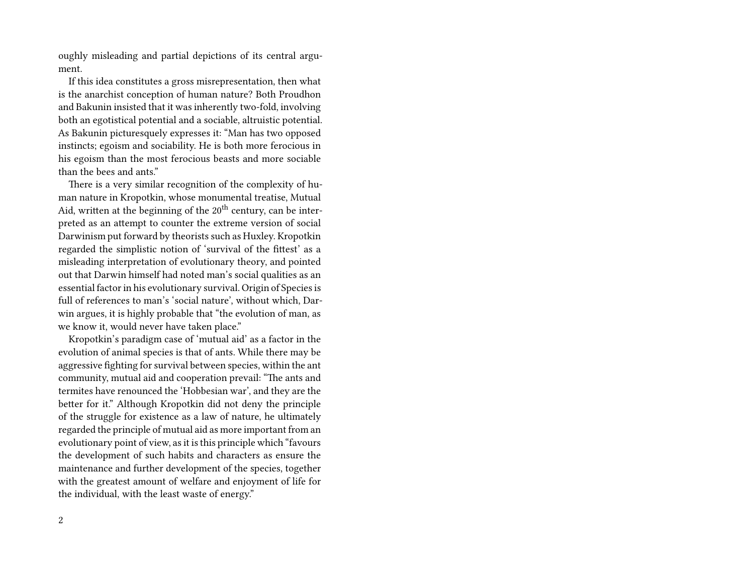oughly misleading and partial depictions of its central argument.

If this idea constitutes a gross misrepresentation, then what is the anarchist conception of human nature? Both Proudhon and Bakunin insisted that it was inherently two-fold, involving both an egotistical potential and a sociable, altruistic potential. As Bakunin picturesquely expresses it: "Man has two opposed instincts; egoism and sociability. He is both more ferocious in his egoism than the most ferocious beasts and more sociable than the bees and ants."

There is a very similar recognition of the complexity of human nature in Kropotkin, whose monumental treatise, Mutual Aid, written at the beginning of the  $20<sup>th</sup>$  century, can be interpreted as an attempt to counter the extreme version of social Darwinism put forward by theorists such as Huxley. Kropotkin regarded the simplistic notion of 'survival of the fittest' as a misleading interpretation of evolutionary theory, and pointed out that Darwin himself had noted man's social qualities as an essential factor in his evolutionary survival. Origin of Species is full of references to man's 'social nature', without which, Darwin argues, it is highly probable that "the evolution of man, as we know it, would never have taken place."

Kropotkin's paradigm case of 'mutual aid' as a factor in the evolution of animal species is that of ants. While there may be aggressive fighting for survival between species, within the ant community, mutual aid and cooperation prevail: "The ants and termites have renounced the 'Hobbesian war', and they are the better for it." Although Kropotkin did not deny the principle of the struggle for existence as a law of nature, he ultimately regarded the principle of mutual aid as more important from an evolutionary point of view, as it is this principle which "favours the development of such habits and characters as ensure the maintenance and further development of the species, together with the greatest amount of welfare and enjoyment of life for the individual, with the least waste of energy."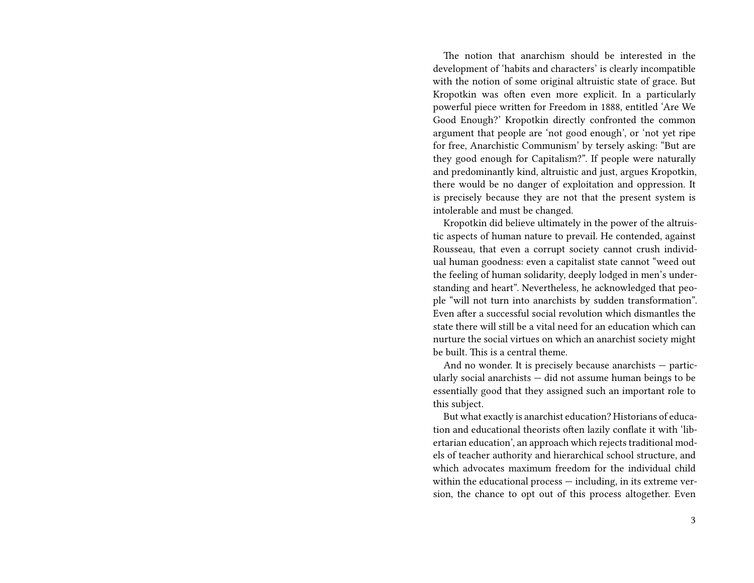The notion that anarchism should be interested in the development of 'habits and characters' is clearly incompatible with the notion of some original altruistic state of grace. But Kropotkin was often even more explicit. In a particularly powerful piece written for Freedom in 1888, entitled 'Are We Good Enough?' Kropotkin directly confronted the common argument that people are 'not good enough', or 'not yet ripe for free, Anarchistic Communism' by tersely asking: "But are they good enough for Capitalism?". If people were naturally and predominantly kind, altruistic and just, argues Kropotkin, there would be no danger of exploitation and oppression. It is precisely because they are not that the present system is intolerable and must be changed.

Kropotkin did believe ultimately in the power of the altruistic aspects of human nature to prevail. He contended, against Rousseau, that even a corrupt society cannot crush individual human goodness: even a capitalist state cannot "weed out the feeling of human solidarity, deeply lodged in men's understanding and heart". Nevertheless, he acknowledged that people "will not turn into anarchists by sudden transformation". Even after a successful social revolution which dismantles the state there will still be a vital need for an education which can nurture the social virtues on which an anarchist society might be built. This is a central theme.

And no wonder. It is precisely because anarchists — particularly social anarchists — did not assume human beings to be essentially good that they assigned such an important role to this subject.

But what exactly is anarchist education? Historians of education and educational theorists often lazily conflate it with 'libertarian education', an approach which rejects traditional models of teacher authority and hierarchical school structure, and which advocates maximum freedom for the individual child within the educational process — including, in its extreme version, the chance to opt out of this process altogether. Even